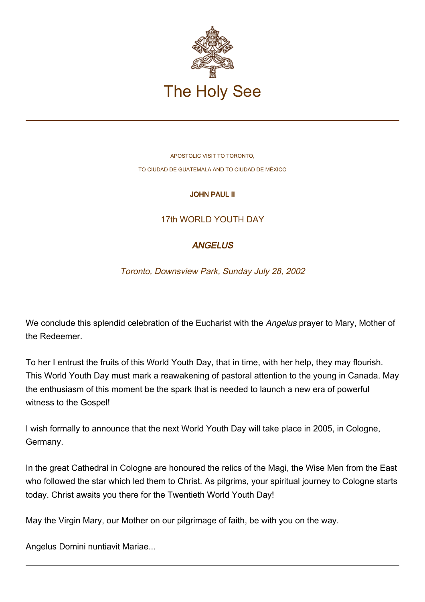

APOSTOLIC VISIT TO TORONTO, TO CIUDAD DE GUATEMALA AND TO CIUDAD DE MÉXICO

### JOHN PAUL II

# 17th WORLD YOUTH DAY

# **ANGELUS**

Toronto, Downsview Park, Sunday July 28, 2002

We conclude this splendid celebration of the Eucharist with the Angelus prayer to Mary, Mother of the Redeemer.

To her I entrust the fruits of this World Youth Day, that in time, with her help, they may flourish. This World Youth Day must mark a reawakening of pastoral attention to the young in Canada. May the enthusiasm of this moment be the spark that is needed to launch a new era of powerful witness to the Gospel!

I wish formally to announce that the next World Youth Day will take place in 2005, in Cologne, Germany.

In the great Cathedral in Cologne are honoured the relics of the Magi, the Wise Men from the East who followed the star which led them to Christ. As pilgrims, your spiritual journey to Cologne starts today. Christ awaits you there for the Twentieth World Youth Day!

May the Virgin Mary, our Mother on our pilgrimage of faith, be with you on the way.

Angelus Domini nuntiavit Mariae...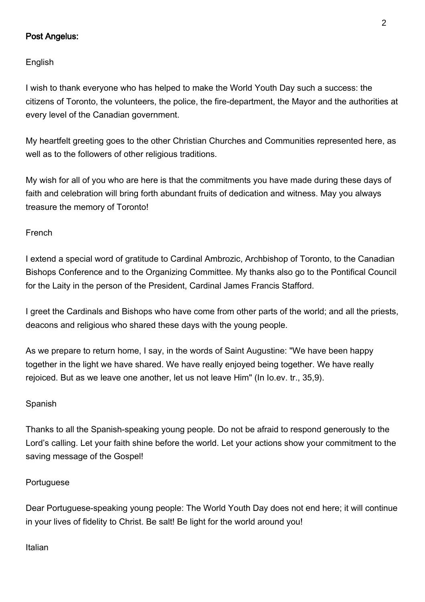### Post Angelus:

English

I wish to thank everyone who has helped to make the World Youth Day such a success: the citizens of Toronto, the volunteers, the police, the fire-department, the Mayor and the authorities at every level of the Canadian government.

My heartfelt greeting goes to the other Christian Churches and Communities represented here, as well as to the followers of other religious traditions.

My wish for all of you who are here is that the commitments you have made during these days of faith and celebration will bring forth abundant fruits of dedication and witness. May you always treasure the memory of Toronto!

French

I extend a special word of gratitude to Cardinal Ambrozic, Archbishop of Toronto, to the Canadian Bishops Conference and to the Organizing Committee. My thanks also go to the Pontifical Council for the Laity in the person of the President, Cardinal James Francis Stafford.

I greet the Cardinals and Bishops who have come from other parts of the world; and all the priests, deacons and religious who shared these days with the young people.

As we prepare to return home, I say, in the words of Saint Augustine: "We have been happy together in the light we have shared. We have really enjoyed being together. We have really rejoiced. But as we leave one another, let us not leave Him" (In Io.ev. tr., 35,9).

### Spanish

Thanks to all the Spanish-speaking young people. Do not be afraid to respond generously to the Lord's calling. Let your faith shine before the world. Let your actions show your commitment to the saving message of the Gospel!

#### Portuguese

Dear Portuguese-speaking young people: The World Youth Day does not end here; it will continue in your lives of fidelity to Christ. Be salt! Be light for the world around you!

Italian